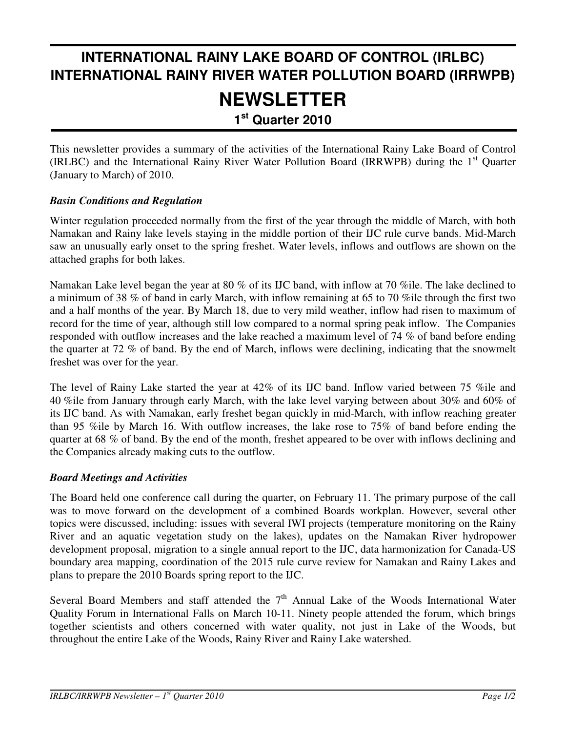## **INTERNATIONAL RAINY LAKE BOARD OF CONTROL (IRLBC) INTERNATIONAL RAINY RIVER WATER POLLUTION BOARD (IRRWPB) NEWSLETTER 1 st Quarter 2010**

This newsletter provides a summary of the activities of the International Rainy Lake Board of Control (IRLBC) and the International Rainy River Water Pollution Board (IRRWPB) during the 1<sup>st</sup> Quarter (January to March) of 2010.

## *Basin Conditions and Regulation*

Winter regulation proceeded normally from the first of the year through the middle of March, with both Namakan and Rainy lake levels staying in the middle portion of their IJC rule curve bands. Mid-March saw an unusually early onset to the spring freshet. Water levels, inflows and outflows are shown on the attached graphs for both lakes.

Namakan Lake level began the year at 80 % of its IJC band, with inflow at 70 %ile. The lake declined to a minimum of 38 % of band in early March, with inflow remaining at 65 to 70 %ile through the first two and a half months of the year. By March 18, due to very mild weather, inflow had risen to maximum of record for the time of year, although still low compared to a normal spring peak inflow. The Companies responded with outflow increases and the lake reached a maximum level of 74 % of band before ending the quarter at 72 % of band. By the end of March, inflows were declining, indicating that the snowmelt freshet was over for the year.

The level of Rainy Lake started the year at 42% of its IJC band. Inflow varied between 75 %ile and 40 %ile from January through early March, with the lake level varying between about 30% and 60% of its IJC band. As with Namakan, early freshet began quickly in mid-March, with inflow reaching greater than 95 %ile by March 16. With outflow increases, the lake rose to 75% of band before ending the quarter at 68 % of band. By the end of the month, freshet appeared to be over with inflows declining and the Companies already making cuts to the outflow.

## *Board Meetings and Activities*

The Board held one conference call during the quarter, on February 11. The primary purpose of the call was to move forward on the development of a combined Boards workplan. However, several other topics were discussed, including: issues with several IWI projects (temperature monitoring on the Rainy River and an aquatic vegetation study on the lakes), updates on the Namakan River hydropower development proposal, migration to a single annual report to the IJC, data harmonization for Canada-US boundary area mapping, coordination of the 2015 rule curve review for Namakan and Rainy Lakes and plans to prepare the 2010 Boards spring report to the IJC.

Several Board Members and staff attended the  $7<sup>th</sup>$  Annual Lake of the Woods International Water Quality Forum in International Falls on March 10-11. Ninety people attended the forum, which brings together scientists and others concerned with water quality, not just in Lake of the Woods, but throughout the entire Lake of the Woods, Rainy River and Rainy Lake watershed.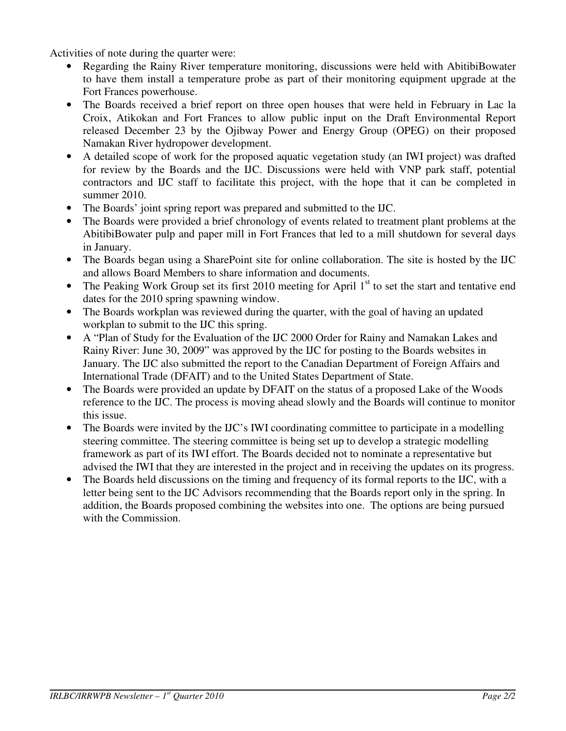Activities of note during the quarter were:

- Regarding the Rainy River temperature monitoring, discussions were held with AbitibiBowater to have them install a temperature probe as part of their monitoring equipment upgrade at the Fort Frances powerhouse.
- The Boards received a brief report on three open houses that were held in February in Lac la Croix, Atikokan and Fort Frances to allow public input on the Draft Environmental Report released December 23 by the Ojibway Power and Energy Group (OPEG) on their proposed Namakan River hydropower development.
- A detailed scope of work for the proposed aquatic vegetation study (an IWI project) was drafted for review by the Boards and the IJC. Discussions were held with VNP park staff, potential contractors and IJC staff to facilitate this project, with the hope that it can be completed in summer 2010.
- The Boards' joint spring report was prepared and submitted to the IJC.
- The Boards were provided a brief chronology of events related to treatment plant problems at the AbitibiBowater pulp and paper mill in Fort Frances that led to a mill shutdown for several days in January.
- The Boards began using a SharePoint site for online collaboration. The site is hosted by the IJC and allows Board Members to share information and documents.
- The Peaking Work Group set its first 2010 meeting for April 1<sup>st</sup> to set the start and tentative end dates for the 2010 spring spawning window.
- The Boards workplan was reviewed during the quarter, with the goal of having an updated workplan to submit to the IJC this spring.
- A "Plan of Study for the Evaluation of the IJC 2000 Order for Rainy and Namakan Lakes and Rainy River: June 30, 2009" was approved by the IJC for posting to the Boards websites in January. The IJC also submitted the report to the Canadian Department of Foreign Affairs and International Trade (DFAIT) and to the United States Department of State.
- The Boards were provided an update by DFAIT on the status of a proposed Lake of the Woods reference to the IJC. The process is moving ahead slowly and the Boards will continue to monitor this issue.
- The Boards were invited by the IJC's IWI coordinating committee to participate in a modelling steering committee. The steering committee is being set up to develop a strategic modelling framework as part of its IWI effort. The Boards decided not to nominate a representative but advised the IWI that they are interested in the project and in receiving the updates on its progress.
- The Boards held discussions on the timing and frequency of its formal reports to the IJC, with a letter being sent to the IJC Advisors recommending that the Boards report only in the spring. In addition, the Boards proposed combining the websites into one. The options are being pursued with the Commission.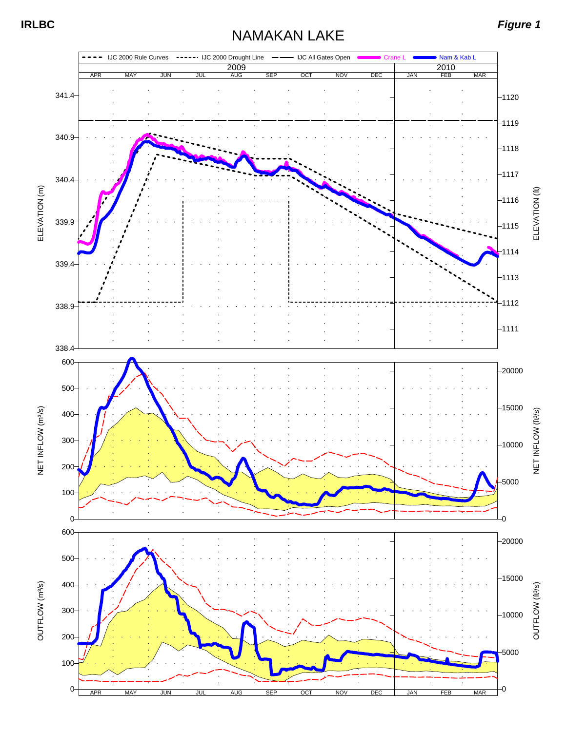